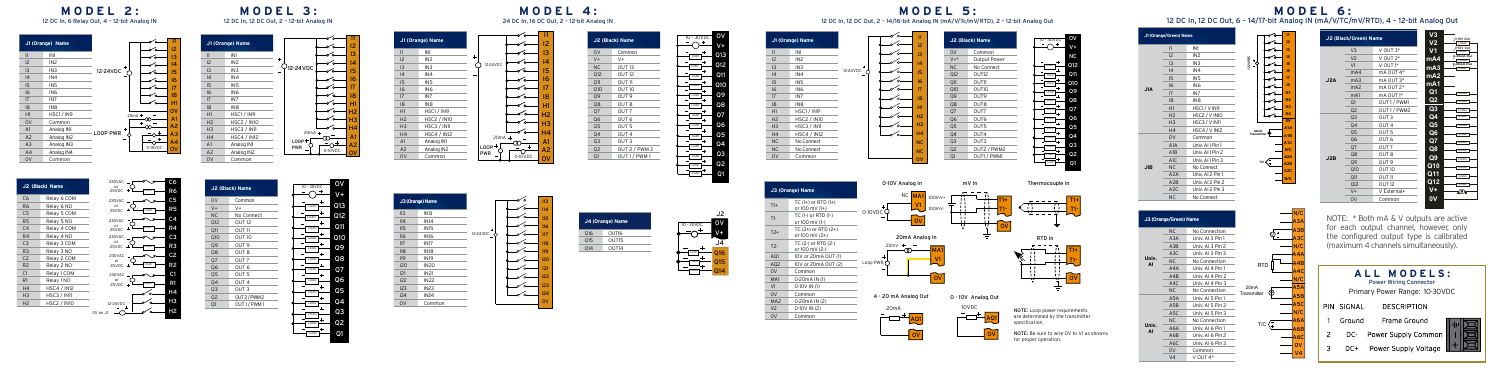

0V on J1

**MODEL 2:** 12 DC In, 6 Relay Out, 4 – 12-bit Analog IN



 $\overline{1}$  IN8

I1

 $\overline{\phantom{a}}$ 

H2

Analog IN1

**MODEL 3:** 12 DC In, 12 DC Out, 2 – 12-bit Analog IN

 $O<sub>12-24VD</sub>$ 

0-10VDC LOOP<sup>+</sup> PWR  $20mA + 0$ 

> OV V+ Q13 Q12 Q11 Q10 Q9 Q8 Q7 Q6 Q5 Q4 Q3 Q2 Q1

I2 I3 I4 I5 I6 I7 I8 H1 H2 H3 H4 A1 A2

 $\overline{\phantom{a}}$ 

 $\sim$ 

 $\frac{1}{\sqrt{2}}$ 

 $\sim$ 

 $\sim$ 

 $\frac{1}{\sqrt{2}}$ 

 $\overline{\phantom{a}}$ 

 $\sqcup_{\mathscr{O}}$ 

|     | J3 (Orange) Name |                       |
|-----|------------------|-----------------------|
| 113 | IN <sub>13</sub> |                       |
| II4 | <b>IN14</b>      |                       |
| 115 | <b>IN15</b>      |                       |
| II6 | <b>IN16</b>      | 12-24VDC <sup>+</sup> |
| 117 | <b>IN17</b>      |                       |
| 118 | <b>IN18</b>      |                       |
| 119 | <b>IN19</b>      |                       |
| 120 | <b>IN20</b>      |                       |
| 121 | <b>IN21</b>      |                       |
| 122 | <b>IN22</b>      |                       |
| 123 | IN23             |                       |
| 124 | <b>IN24</b>      |                       |
| 0V  | Common           |                       |

**J1 (Orange) Name** I1 IN1  $IN2$  $\overline{IN3}$  $IN4$ I5 IN5  $IN6$ I7 IN7 I8 IN8  $HSC1 / IN9$ H2 HSC2 / IN10 H3 HSC3 / IN11 H4 HSC4 / IN12 **Analog IN1** A2 Analog IN2<br>OV Common Common



0-10VDC

 $\overline{\phantom{a}}$ 

 $\overline{\phantom{a}}$ 

 $\overline{\phantom{a}}$ 

 $\sim$ 

 $\sim$ 

 $\sim$ 

 $\sim$ 

 $\sim$ 

 $\overline{\phantom{a}}$ 

 $\begin{array}{c}\n & \text{20mA +} \\
\hline\n\text{LOOP +} & \text{0--} \\
\hline\n\text{PWR} & \text{0--} \\
\hline\n\end{array}\n\begin{array}{c}\n & \text{A1} \\
\hline\n\text{0--} & \text{A2} \\
\hline\n\text{0--} & \text{A2} \\
\hline\n\text{0--} & \text{OVDC} \\
\hline\n\end{array}$ 

20mA

12-24VDC



**J2 (Black) Name** 0V Common  $V+$   $V+$ NC OUT 13 Q12 OUT 12  $Q11$   $Q11T11$ Q10 OUT 10 Q9 OUT 9 Q8 OUT 8 Q7 OUT 7 Q6 OUT 6 Q5 OUT 5 Q4 OUT 4 Q3 OUT 3 Q2 OUT 2 / PWM 2 Q1 OUT 1 / PWM 1

**MODEL 4:** 24 DC In, 16 DC Out, 2 – 12-bit Analog IN

> I1 I2 I3 I4 I5 I6 I7 I8 H1 H2 H3









**- - -**

LOAD 0-10V Out LOAD

LOAD

LOAD



12 DC In, 12 DC Out, 2 – 14/16-bit Analog IN (mA/V/Tc/mV/RTD), 2 – 12-bit Analog Out

OV V+  $\overline{\phantom{0}}$   $\overline{\phantom{0}}$  013 Q12 Q11 Q10

 $-$ LOAD LOAD LOAD LOAD  $\overline{\phantom{a}}$  $\frac{1000}{4}$  $-$ LOAD LOAD LOAD

 $-0 + 30 \times 0$ 

 $+$ 

**J1 (Orange) Name**  $\sim$  $\rightarrow$ I1 IN1  $\overline{IN2}$  $\overline{\phantom{a}}$  $\overline{IN3}$  $\begin{array}{c} \hline \text{ } & \text{ } \\ \text{ } & \text{ } \\ \text{ } & \text{ } \\ \hline \end{array}$ 12-24VDC I4 IN4 I5 IN5  $\overline{\phantom{a}}$ I6 IN6 I7 IN7

|                                    | <b>NC</b><br><b>NC</b><br>$\mathsf{ov}$                         | Q3<br>OUT3<br>OUT2 / PWM2<br>Q <sub>2</sub><br>OUT1 / PWM1<br>Q1 | LOAD<br>LOAD<br>LOAD |
|------------------------------------|-----------------------------------------------------------------|------------------------------------------------------------------|----------------------|
|                                    | 0-10V Analog In                                                 | mV In                                                            | Thermocouple In      |
| $D(1+)$<br>F)<br>$(1-)$<br>$D(2+)$ | NC MA1<br>$100mV+$<br>V <sub>1</sub><br>100mV-<br>0-10VDC<br>ov | "<br>$T1+$<br>T1-<br>ū<br>. .<br>ov<br>v<br>.,                   |                      |

**MODEL 5:**

I1 I2 I3 I4 I5 I6 I7

 $\sim$ 

**J2 (Black) Name** Common V+\* Output Power No Connect Q12 OUT12  $OM$   $OUT11$ Q10 OUT10 Q9 OUT9 Q8 OUT8 Q7 OUT7 Q6 OUT6 Q5 OUT5 Q4 OUT4

| 100mV-<br>0-10VDC<br>Oν                              | TI-                |                            |
|------------------------------------------------------|--------------------|----------------------------|
| 20mA Analog In                                       |                    | RTD In                     |
| 20mV<br><b>MA</b><br>V <sub>1</sub><br>Loop PWR<br>n |                    | M+                         |
| 4 - 20 mA Analog Out                                 | 0 - 10V Analog Out |                            |
| 20 <sub>m</sub> A                                    | 10VDC              | NOTE: Loop power requireme |



OV V+ 10 - 30VDC NC Q12 Q11 Q10 Q9 Q8 Q7 Q6 Q5 Q4 Q3 Q2 Q1

> T1+ T1-

LOAD LOAD LOAD LOAD LOAD LOAD LOAD LOAD

**AI**

**J1A**